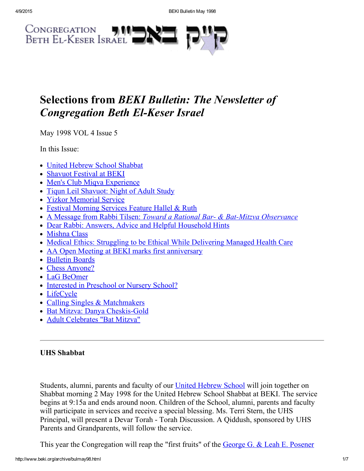

# Selections from BEKI Bulletin: The Newsletter of **Congregation Beth El-Keser Israel**

May 1998 VOL 4 Issue 5

In this Issue:

- United Hebrew School [Shabbat](#page-0-0)
- [Shavuot](#page-1-3) Festival at BEKI
- Men's Club Miqva [Experience](#page-1-1)
- Tigun Leil [Shavuot:](#page-1-0) Night of Adult Study
- Yizkor [Memorial](#page-1-2) Service
- Festival [Morning](#page-2-0) Services Feature Hallel & Ruth
- A Message from Rabbi Tilsen: Toward a Rational Bar- & Bat-Mitzva [Observance](#page-2-1)
- Dear Rabbi: Answers, Advice and Helpful [Household](#page-3-0) Hints
- [Mishna](#page-4-1) Class
- Medical Ethics: Struggling to be Ethical While [Delivering](#page-4-0) Managed Health Care
- AA Open Meeting at BEKI marks first [anniversary](#page-5-1)
- [Bulletin](#page-5-2) Boards
- Chess [Anyone?](#page-5-4)
- LaG [BeOmer](#page-5-0)
- Interested in [Preschool](#page-5-5) or Nursery School?
- [LifeCycle](#page-5-3)
- Calling Singles & [Matchmakers](#page-6-0)
- Bat Mitzva: Danya Cheskis-Gold
- Adult [Celebrates](#page-6-1) "Bat Mitzva"

# <span id="page-0-0"></span>UHS Shabbat

Students, alumni, parents and faculty of our United [Hebrew](http://www.beki.org/archive/youth.html#UHS) School will join together on Shabbat morning 2 May 1998 for the United Hebrew School Shabbat at BEKI. The service begins at 9:15a and ends around noon. Children of the School, alumni, parents and faculty will participate in services and receive a special blessing. Ms. Terri Stern, the UHS Principal, will present a Devar Torah Torah Discussion. A Qiddush, sponsored by UHS Parents and Grandparents, will follow the service.

This year the Congregation will reap the "first fruits" of the George G. & Leah E. [Posener](http://www.beki.org/archive/endowment.html#PosenerYouth)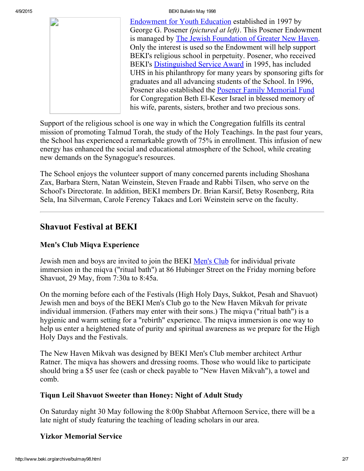4/9/2015 BEKI Bulletin May 1998

[Endowment](http://www.beki.org/archive/endowment.html#PosenerYouth) for Youth Education established in 1997 by George G. Posener (pictured at left). This Posener Endowment is managed by The Jewish [Foundation](http://www.jewishnewhaven.org/FOUNDTN.htm) of Greater New Haven. Only the interest is used so the Endowment will help support BEKI's religious school in perpetuity. Posener, who received BEKI's [Distinguished](http://www.beki.org/archive/distinguished.html#george) Service Award in 1995, has included UHS in his philanthropy for many years by sponsoring gifts for graduates and all advancing students of the School. In 1996, Posener also established the Posener Family [Memorial](http://www.beki.org/archive/endowment.html#Posener) Fund for Congregation Beth El-Keser Israel in blessed memory of his wife, parents, sisters, brother and two precious sons.

Support of the religious school is one way in which the Congregation fulfills its central mission of promoting Talmud Torah, the study of the Holy Teachings. In the past four years, the School has experienced a remarkable growth of 75% in enrollment. This infusion of new energy has enhanced the social and educational atmosphere of the School, while creating new demands on the Synagogue's resources.

The School enjoys the volunteer support of many concerned parents including Shoshana Zax, Barbara Stern, Natan Weinstein, Steven Fraade and Rabbi Tilsen, who serve on the School's Directorate. In addition, BEKI members Dr. Brian Karsif, Betsy Rosenberg, Rita Sela, Ina Silverman, Carole Ferency Takacs and Lori Weinstein serve on the faculty.

# <span id="page-1-3"></span>Shavuot Festival at BEKI

# <span id="page-1-1"></span>Men's Club Miqva Experience

Jewish men and boys are invited to join the BEKI [Men's](http://www.beki.org/archive/mensclub.html) Club for individual private immersion in the miqva ("ritual bath") at 86 Hubinger Street on the Friday morning before Shavuot, 29 May, from 7:30a to 8:45a.

On the morning before each of the Festivals (High Holy Days, Sukkot, Pesah and Shavuot) Jewish men and boys of the BEKI Men's Club go to the New Haven Mikvah for private individual immersion. (Fathers may enter with their sons.) The miqva ("ritual bath") is a hygienic and warm setting for a "rebirth" experience. The miqva immersion is one way to help us enter a heightened state of purity and spiritual awareness as we prepare for the High Holy Days and the Festivals.

The New Haven Mikvah was designed by BEKI Men's Club member architect Arthur Ratner. The miqva has showers and dressing rooms. Those who would like to participate should bring a \$5 user fee (cash or check payable to "New Haven Mikvah"), a towel and comb.

## <span id="page-1-0"></span>Tiqun Leil Shavuot Sweeter than Honey: Night of Adult Study

On Saturday night 30 May following the 8:00p Shabbat Afternoon Service, there will be a late night of study featuring the teaching of leading scholars in our area.

# <span id="page-1-2"></span>Yizkor Memorial Service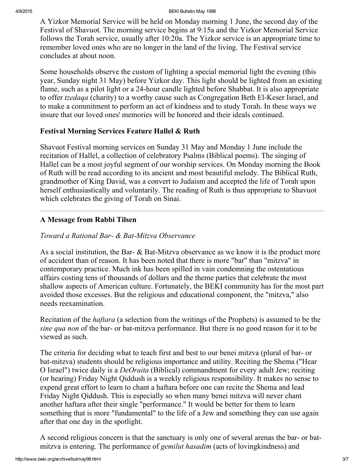A Yizkor Memorial Service will be held on Monday morning 1 June, the second day of the Festival of Shavuot. The morning service begins at 9:15a and the Yizkor Memorial Service follows the Torah service, usually after 10:20a. The Yizkor service is an appropriate time to remember loved ones who are no longer in the land of the living. The Festival service concludes at about noon.

Some households observe the custom of lighting a special memorial light the evening (this year, Sunday night 31 May) before Yizkor day. This light should be lighted from an existing flame, such as a pilot light or a 24-hour candle lighted before Shabbat. It is also appropriate to offer *tzedaqa* (charity) to a worthy cause such as Congregation Beth El-Keser Israel, and to make a commitment to perform an act of kindness and to study Torah. In these ways we insure that our loved ones' memories will be honored and their ideals continued.

### <span id="page-2-0"></span>Festival Morning Services Feature Hallel & Ruth

Shavuot Festival morning services on Sunday 31 May and Monday 1 June include the recitation of Hallel, a collection of celebratory Psalms (Biblical poems). The singing of Hallel can be a most joyful segment of our worship services. On Monday morning the Book of Ruth will be read according to its ancient and most beautiful melody. The Biblical Ruth, grandmother of King David, was a convert to Judaism and accepted the life of Torah upon herself enthusiastically and voluntarily. The reading of Ruth is thus appropriate to Shavuot which celebrates the giving of Torah on Sinai.

### <span id="page-2-1"></span>A Message from Rabbi Tilsen

#### Toward a Rational Bar- & Bat-Mitzva Observance

As a social institution, the Bar-  $\&$  Bat-Mitzva observance as we know it is the product more of accident than of reason. It has been noted that there is more "bar" than "mitzva" in contemporary practice. Much ink has been spilled in vain condemning the ostentatious affairs costing tens of thousands of dollars and the theme parties that celebrate the most shallow aspects of American culture. Fortunately, the BEKI community has for the most part avoided those excesses. But the religious and educational component, the "mitzva," also needs reexamination.

Recitation of the haftara (a selection from the writings of the Prophets) is assumed to be the sine qua non of the bar- or bat-mitzva performance. But there is no good reason for it to be viewed as such.

The criteria for deciding what to teach first and best to our benei mitzva (plural of bar- or bat-mitzva) students should be religious importance and utility. Reciting the Shema ("Hear O Israel") twice daily is a DeOraita (Biblical) commandment for every adult Jew; reciting (or hearing) Friday Night Qiddush is a weekly religious responsibility. It makes no sense to expend great effort to learn to chant a haftara before one can recite the Shema and lead Friday Night Qiddush. This is especially so when many benei mitzva will never chant another haftara after their single "performance." It would be better for them to learn something that is more "fundamental" to the life of a Jew and something they can use again after that one day in the spotlight.

A second religious concern is that the sanctuary is only one of several arenas the bar- or batmitzva is entering. The performance of gemilut hasadim (acts of lovingkindness) and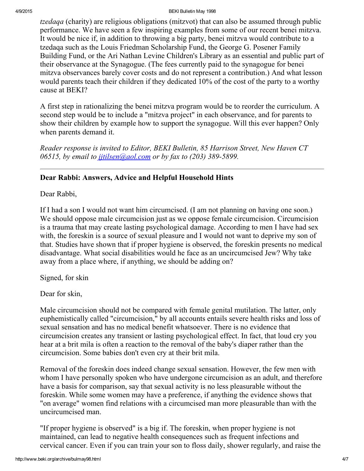#### 4/9/2015 BEKI Bulletin May 1998

tzedaqa (charity) are religious obligations (mitzvot) that can also be assumed through public performance. We have seen a few inspiring examples from some of our recent benei mitzva. It would be nice if, in addition to throwing a big party, benei mitzva would contribute to a tzedaqa such as the Louis Friedman Scholarship Fund, the George G. Posener Family Building Fund, or the Ari Nathan Levine Children's Library as an essential and public part of their observance at the Synagogue. (The fees currently paid to the synagogue for benei mitzva observances barely cover costs and do not represent a contribution.) And what lesson would parents teach their children if they dedicated 10% of the cost of the party to a worthy cause at BEKI?

A first step in rationalizing the benei mitzva program would be to reorder the curriculum. A second step would be to include a "mitzva project" in each observance, and for parents to show their children by example how to support the synagogue. Will this ever happen? Only when parents demand it.

Reader response is invited to Editor, BEKI Bulletin, 85 Harrison Street, New Haven CT 06515, by email to  $\frac{j \cdot t}{j \cdot s}$  (and  $\frac{j \cdot t}{s}$  or by fax to (203) 389-5899.

### <span id="page-3-0"></span>Dear Rabbi: Answers, Advice and Helpful Household Hints

Dear Rabbi,

If I had a son I would not want him circumcised. (I am not planning on having one soon.) We should oppose male circumcision just as we oppose female circumcision. Circumcision is a trauma that may create lasting psychological damage. According to men I have had sex with, the foreskin is a source of sexual pleasure and I would not want to deprive my son of that. Studies have shown that if proper hygiene is observed, the foreskin presents no medical disadvantage. What social disabilities would he face as an uncircumcised Jew? Why take away from a place where, if anything, we should be adding on?

Signed, for skin

Dear for skin,

Male circumcision should not be compared with female genital mutilation. The latter, only euphemistically called "circumcision," by all accounts entails severe health risks and loss of sexual sensation and has no medical benefit whatsoever. There is no evidence that circumcision creates any transient or lasting psychological effect. In fact, that loud cry you hear at a brit mila is often a reaction to the removal of the baby's diaper rather than the circumcision. Some babies don't even cry at their brit mila.

Removal of the foreskin does indeed change sexual sensation. However, the few men with whom I have personally spoken who have undergone circumcision as an adult, and therefore have a basis for comparison, say that sexual activity is no less pleasurable without the foreskin. While some women may have a preference, if anything the evidence shows that "on average" women find relations with a circumcised man more pleasurable than with the uncircumcised man.

"If proper hygiene is observed" is a big if. The foreskin, when proper hygiene is not maintained, can lead to negative health consequences such as frequent infections and cervical cancer. Even if you can train your son to floss daily, shower regularly, and raise the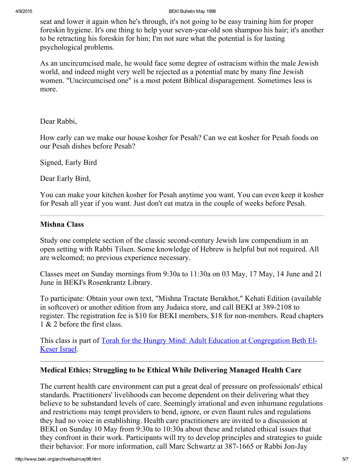#### 4/9/2015 BEKI Bulletin May 1998

seat and lower it again when he's through, it's not going to be easy training him for proper foreskin hygiene. It's one thing to help your seven-year-old son shampoo his hair; it's another to be retracting his foreskin for him; I'm not sure what the potential is for lasting psychological problems.

As an uncircumcised male, he would face some degree of ostracism within the male Jewish world, and indeed might very well be rejected as a potential mate by many fine Jewish women. "Uncircumcised one" is a most potent Biblical disparagement. Sometimes less is more.

#### Dear Rabbi,

How early can we make our house kosher for Pesah? Can we eat kosher for Pesah foods on our Pesah dishes before Pesah?

Signed, Early Bird

Dear Early Bird,

You can make your kitchen kosher for Pesah anytime you want. You can even keep it kosher for Pesah all year if you want. Just don't eat matza in the couple of weeks before Pesah.

#### <span id="page-4-1"></span>Mishna Class

Study one complete section of the classic second-century Jewish law compendium in an open setting with Rabbi Tilsen. Some knowledge of Hebrew is helpful but not required. All are welcomed; no previous experience necessary.

Classes meet on Sunday mornings from 9:30a to 11:30a on 03 May, 17 May, 14 June and 21 June in BEKI's Rosenkrantz Library.

To participate: Obtain your own text, "Mishna Tractate Berakhot," Kehati Edition (available in softcover) or another edition from any Judaica store, and call BEKI at 389-2108 to register. The registration fee is \$10 for BEKI members, \$18 for non-members. Read chapters 1 & 2 before the first class.

This class is part of Torah for the Hungry Mind: Adult Education at [Congregation](http://www.beki.org/archive/hungry.html) Beth El-Keser Israel.

#### <span id="page-4-0"></span>Medical Ethics: Struggling to be Ethical While Delivering Managed Health Care

The current health care environment can put a great deal of pressure on professionals' ethical standards. Practitioners' livelihoods can become dependent on their delivering what they believe to be substandard levels of care. Seemingly irrational and even inhumane regulations and restrictions may tempt providers to bend, ignore, or even flaunt rules and regulations they had no voice in establishing. Health care practitioners are invited to a discussion at BEKI on Sunday 10 May from 9:30a to 10:30a about these and related ethical issues that they confront in their work. Participants will try to develop principles and strategies to guide their behavior. For more information, call Marc Schwartz at 387-1665 or Rabbi Jon-Jay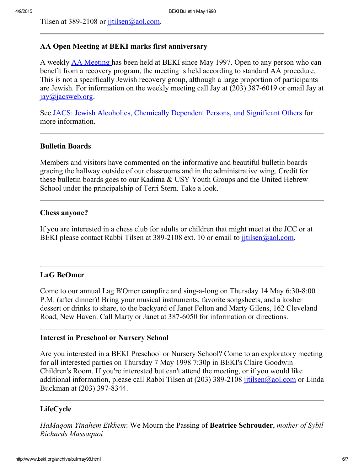Tilsen at 389-2108 or  $\frac{\text{jitilsen}(a)$  aol.com.

#### <span id="page-5-1"></span>AA Open Meeting at BEKI marks first anniversary

A weekly AA [Meeting](http://www.beki.org/archive/tiqunola.html#aameeting) has been held at BEKI since May 1997. Open to any person who can benefit from a recovery program, the meeting is held according to standard AA procedure. This is not a specifically Jewish recovery group, although a large proportion of participants are Jewish. For information on the weekly meeting call Jay at  $(203)$  387-6019 or email Jay at [jay@jacsweb.org.](mailto:jay@jacsweb.org)

See JACS: Jewish Alcoholics, [Chemically](http://www.jacsweb.org/) Dependent Persons, and Significant Others for more information.

#### <span id="page-5-2"></span>Bulletin Boards

Members and visitors have commented on the informative and beautiful bulletin boards gracing the hallway outside of our classrooms and in the administrative wing. Credit for these bulletin boards goes to our Kadima & USY Youth Groups and the United Hebrew School under the principalship of Terri Stern. Take a look.

#### <span id="page-5-4"></span>Chess anyone?

If you are interested in a chess club for adults or children that might meet at the JCC or at BEKI please contact Rabbi Tilsen at 389-2108 ext. 10 or email to *jttilsen@aol.com.* 

#### <span id="page-5-0"></span>LaG BeOmer

Come to our annual Lag B'Omer campfire and sing-a-long on Thursday  $14$  May  $6:30-8:00$ P.M. (after dinner)! Bring your musical instruments, favorite songsheets, and a kosher dessert or drinks to share, to the backyard of Janet Felton and Marty Gilens, 162 Cleveland Road, New Haven. Call Marty or Janet at 387-6050 for information or directions.

#### <span id="page-5-5"></span>Interest in Preschool or Nursery School

Are you interested in a BEKI Preschool or Nursery School? Come to an exploratory meeting for all interested parties on Thursday 7 May 1998 7:30p in BEKI's Claire Goodwin Children's Room. If you're interested but can't attend the meeting, or if you would like additional information, please call Rabbi Tilsen at (203) 389-2108 jitilsen@aol.com or Linda Buckman at (203) 397-8344.

#### <span id="page-5-3"></span>LifeCycle

HaMagom Yinahem Etkhem: We Mourn the Passing of **Beatrice Schrouder**, mother of Sybil Richards Massaquoi